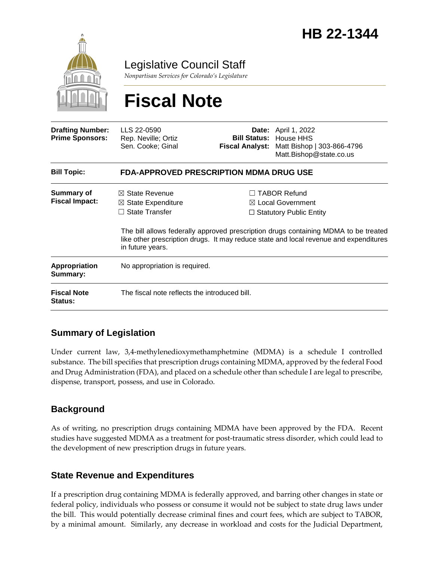

Legislative Council Staff

*Nonpartisan Services for Colorado's Legislature*

# **Fiscal Note**

| <b>Drafting Number:</b><br><b>Prime Sponsors:</b> | LLS 22-0590<br>Rep. Neville; Ortiz<br>Sen. Cooke; Ginal                                                 |  | <b>Date:</b> April 1, 2022<br><b>Bill Status: House HHS</b><br>Fiscal Analyst: Matt Bishop   303-866-4796<br>Matt.Bishop@state.co.us                                                                                                                                  |  |
|---------------------------------------------------|---------------------------------------------------------------------------------------------------------|--|-----------------------------------------------------------------------------------------------------------------------------------------------------------------------------------------------------------------------------------------------------------------------|--|
| <b>Bill Topic:</b>                                | FDA-APPROVED PRESCRIPTION MDMA DRUG USE                                                                 |  |                                                                                                                                                                                                                                                                       |  |
| Summary of<br><b>Fiscal Impact:</b>               | $\boxtimes$ State Revenue<br>$\boxtimes$ State Expenditure<br><b>State Transfer</b><br>in future years. |  | <b>TABOR Refund</b><br>$\boxtimes$ Local Government<br>$\Box$ Statutory Public Entity<br>The bill allows federally approved prescription drugs containing MDMA to be treated<br>like other prescription drugs. It may reduce state and local revenue and expenditures |  |
| <b>Appropriation</b><br>Summary:                  | No appropriation is required.                                                                           |  |                                                                                                                                                                                                                                                                       |  |
| <b>Fiscal Note</b><br><b>Status:</b>              | The fiscal note reflects the introduced bill.                                                           |  |                                                                                                                                                                                                                                                                       |  |

# **Summary of Legislation**

Under current law, 3,4-methylenedioxymethamphetmine (MDMA) is a schedule I controlled substance. The bill specifies that prescription drugs containing MDMA, approved by the federal Food and Drug Administration (FDA), and placed on a schedule other than schedule I are legal to prescribe, dispense, transport, possess, and use in Colorado.

# **Background**

As of writing, no prescription drugs containing MDMA have been approved by the FDA. Recent studies have suggested MDMA as a treatment for post-traumatic stress disorder, which could lead to the development of new prescription drugs in future years.

# **State Revenue and Expenditures**

If a prescription drug containing MDMA is federally approved, and barring other changes in state or federal policy, individuals who possess or consume it would not be subject to state drug laws under the bill. This would potentially decrease criminal fines and court fees, which are subject to TABOR, by a minimal amount. Similarly, any decrease in workload and costs for the Judicial Department,